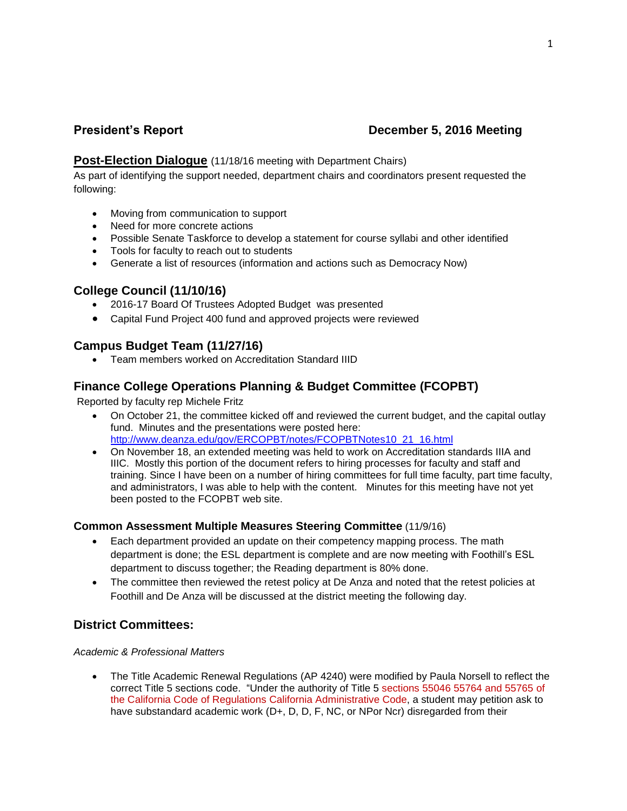# **President's Report December 5, 2016 Meeting**

## **Post-Election Dialogue** (11/18/16 meeting with Department Chairs)

As part of identifying the support needed, department chairs and coordinators present requested the following:

- Moving from communication to support
- Need for more concrete actions
- Possible Senate Taskforce to develop a statement for course syllabi and other identified
- Tools for faculty to reach out to students
- Generate a list of resources (information and actions such as Democracy Now)

## **College Council (11/10/16)**

- 2016-17 Board Of Trustees Adopted Budget was presented
- Capital Fund Project 400 fund and approved projects were reviewed

# **Campus Budget Team (11/27/16)**

Team members worked on Accreditation Standard IIID

# **Finance College Operations Planning & Budget Committee (FCOPBT)**

Reported by faculty rep Michele Fritz

- On October 21, the committee kicked off and reviewed the current budget, and the capital outlay fund. Minutes and the presentations were posted here: [http://www.deanza.edu/gov/ERCOPBT/notes/FCOPBTNotes10\\_21\\_16.html](https://email.fhda.edu/owa/redir.aspx?C=Fj9zzZZ2v_ycSAyJ6tiSPQpTPTDuF33ZLO-SWCZ1-wKbUI68yBPUCA..&URL=http%3a%2f%2fwww.deanza.edu%2fgov%2fERCOPBT%2fnotes%2fFCOPBTNotes10_21_16.html)
- On November 18, an extended meeting was held to work on Accreditation standards IIIA and IIIC. Mostly this portion of the document refers to hiring processes for faculty and staff and training. Since I have been on a number of hiring committees for full time faculty, part time faculty, and administrators, I was able to help with the content. Minutes for this meeting have not yet been posted to the FCOPBT web site.

## **Common Assessment Multiple Measures Steering Committee** (11/9/16)

- Each department provided an update on their competency mapping process. The math department is done; the ESL department is complete and are now meeting with Foothill's ESL department to discuss together; the Reading department is 80% done.
- The committee then reviewed the retest policy at De Anza and noted that the retest policies at Foothill and De Anza will be discussed at the district meeting the following day.

# **District Committees:**

#### *Academic & Professional Matters*

 The Title Academic Renewal Regulations (AP 4240) were modified by Paula Norsell to reflect the correct Title 5 sections code. "Under the authority of Title 5 sections 55046 55764 and 55765 of the California Code of Regulations California Administrative Code, a student may petition ask to have substandard academic work (D+, D, D, F, NC, or NPor Ncr) disregarded from their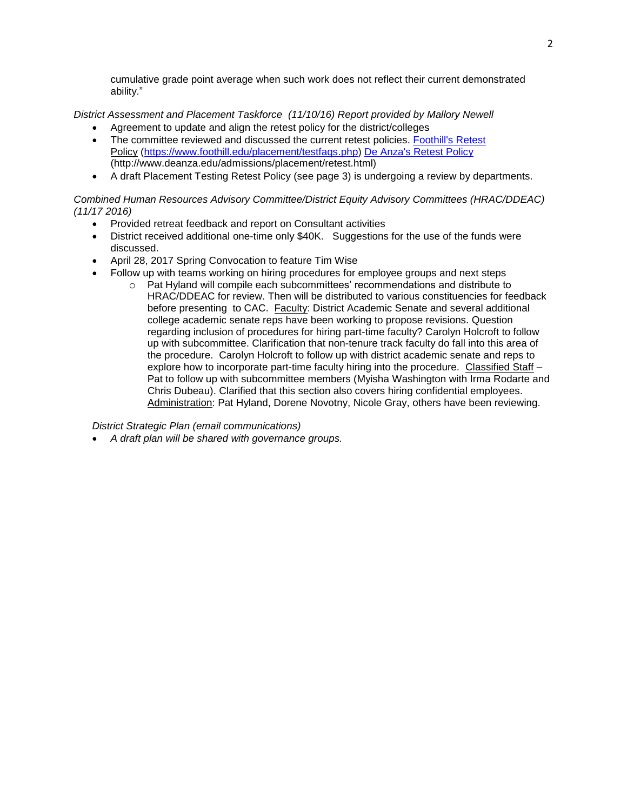cumulative grade point average when such work does not reflect their current demonstrated ability."

*District Assessment and Placement Taskforce (11/10/16) Report provided by Mallory Newell*

- Agreement to update and align the retest policy for the district/colleges
- The committee reviewed and discussed the current retest policies. [Foothill's Retest](https://email.fhda.edu/owa/redir.aspx?C=L76amOIrW43yfKuVSfUuVjg3fhPVGP1bm3jp2M7mAUqOtiaK8w7UCA..&URL=https%3a%2f%2fwww.foothill.edu%2fplacement%2ftestfaqs.php) Policy [\(https://www.foothill.edu/placement/testfaqs.php\)](https://www.foothill.edu/placement/testfaqs.php) [De Anza's Retest Policy](De%20Anza) (http://www.deanza.edu/admissions/placement/retest.html)
- A draft Placement Testing Retest Policy (see page 3) is undergoing a review by departments.

#### *Combined Human Resources Advisory Committee/District Equity Advisory Committees (HRAC/DDEAC) (11/17 2016)*

- Provided retreat feedback and report on Consultant activities
- District received additional one-time only \$40K. Suggestions for the use of the funds were discussed.
- April 28, 2017 Spring Convocation to feature Tim Wise
- Follow up with teams working on hiring procedures for employee groups and next steps
	- o Pat Hyland will compile each subcommittees' recommendations and distribute to HRAC/DDEAC for review. Then will be distributed to various constituencies for feedback before presenting to CAC. Faculty: District Academic Senate and several additional college academic senate reps have been working to propose revisions. Question regarding inclusion of procedures for hiring part-time faculty? Carolyn Holcroft to follow up with subcommittee. Clarification that non-tenure track faculty do fall into this area of the procedure. Carolyn Holcroft to follow up with district academic senate and reps to explore how to incorporate part-time faculty hiring into the procedure. Classified Staff – Pat to follow up with subcommittee members (Myisha Washington with Irma Rodarte and Chris Dubeau). Clarified that this section also covers hiring confidential employees. Administration: Pat Hyland, Dorene Novotny, Nicole Gray, others have been reviewing.

*District Strategic Plan (email communications)*

*A draft plan will be shared with governance groups.*